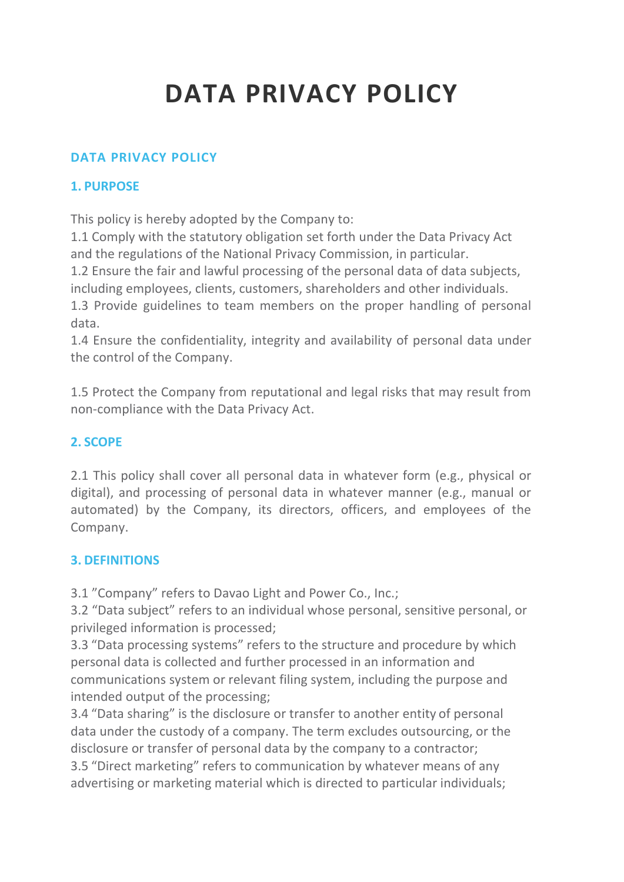# **DATA PRIVACY POLICY**

### **DATA [PRIVACY](http://www.davaolight.com/index.php/about/data-privacy-policy2/383-data-privacy-policy) POLICY**

#### **1. PURPOSE**

This policy is hereby adopted by the Company to:

1.1 Comply with the statutory obligation set forth under the Data Privacy Act and the regulations of the National Privacy Commission, in particular.

1.2 Ensure the fair and lawful processing of the personal data of data subjects, including employees, clients, customers, shareholders and other individuals.

1.3 Provide guidelines to team members on the proper handling of personal data.

1.4 Ensure the confidentiality, integrity and availability of personal data under the control of the Company.

1.5 Protect the Company from reputational and legal risks that may result from non-compliance with the Data Privacy Act.

## **2. SCOPE**

2.1 This policy shall cover all personal data in whatever form (e.g., physical or digital), and processing of personal data in whatever manner (e.g., manual or automated) by the Company, its directors, officers, and employees of the Company.

#### **3. DEFINITIONS**

3.1 "Company" refers to Davao Light and Power Co., Inc.;

3.2 "Data subject" refers to an individual whose personal, sensitive personal, or privileged information is processed;

3.3 "Data processing systems" refers to the structure and procedure by which personal data is collected and further processed in an information and communications system or relevant filing system, including the purpose and intended output of the processing;

3.4 "Data sharing" is the disclosure or transfer to another entity of personal data under the custody of a company. The term excludes outsourcing, or the disclosure or transfer of personal data by the company to a contractor; 3.5 "Direct marketing" refers to communication by whatever means of any advertising or marketing material which is directed to particular individuals;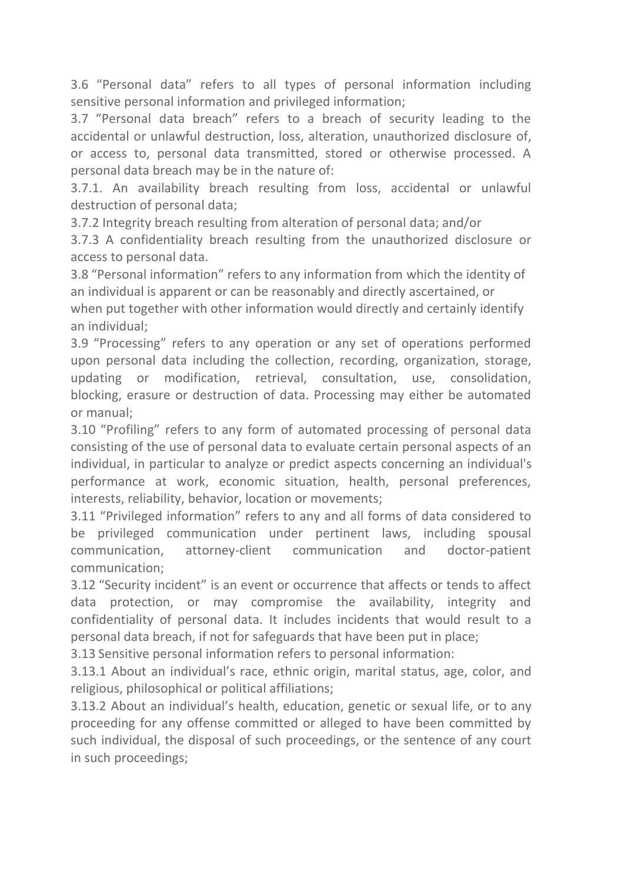3.6 "Personal data" refers to all types of personal information including sensitive personal information and privileged information;

3.7 "Personal data breach" refers to a breach of security leading to the accidental or unlawful destruction, loss, alteration, unauthorized disclosure of, or access to, personal data transmitted, stored or otherwise processed. A personal data breach may be in the nature of:

3.7.1. An availability breach resulting from loss, accidental or unlawful destruction of personal data;

3.7.2 Integrity breach resulting from alteration of personal data; and/or

3.7.3 A confidentiality breach resulting from the unauthorized disclosure or access to personal data.

3.8 "Personal information" refers to any information from which the identity of an individual is apparent or can be reasonably and directly ascertained, or when put together with other information would directly and certainly identify an individual;

3.9 "Processing" refers to any operation or any set of operations performed upon personal data including the collection, recording, organization, storage, updating or modification, retrieval, consultation, use, consolidation, blocking, erasure or destruction of data. Processing may either be automated or manual;

3.10 "Profiling" refers to any form of automated processing of personal data consisting of the use of personal data to evaluate certain personal aspects of an individual, in particular to analyze or predict aspects concerning an individual's performance at work, economic situation, health, personal preferences, interests, reliability, behavior, location or movements;

3.11 "Privileged information" refers to any and all forms of data considered to be privileged communication under pertinent laws, including spousal communication, attorney-client communication and doctor-patient communication;

3.12 "Security incident" is an event or occurrence that affects or tends to affect data protection, or may compromise the availability, integrity and confidentiality of personal data. It includes incidents that would result to a personal data breach, if not for safeguards that have been put in place;

3.13 Sensitive personal information refers to personal information:

3.13.1 About an individual's race, ethnic origin, marital status, age, color, and religious, philosophical or political affiliations;

3.13.2 About an individual's health, education, genetic or sexual life, or to any proceeding for any offense committed or alleged to have been committed by such individual, the disposal of such proceedings, or the sentence of any court in such proceedings;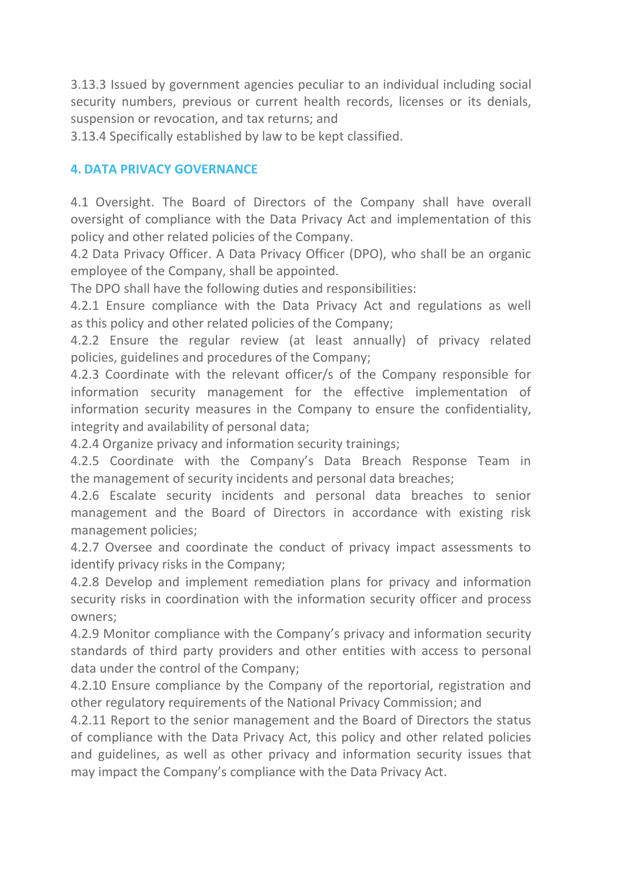3.13.3 Issued by government agencies peculiar to an individual including social security numbers, previous or current health records, licenses or its denials, suspension or revocation, and tax returns; and

3.13.4 Specifically established by law to be kept classified.

#### **4. DATA PRIVACY GOVERNANCE**

4.1 Oversight. The Board of Directors of the Company shall have overall oversight of compliance with the Data Privacy Act and implementation of this policy and other related policies of the Company.

4.2 Data Privacy Officer. A Data Privacy Officer (DPO), who shall be an organic employee of the Company, shall be appointed.<br>The DPO shall have the following duties and responsibilities:

4.2.1 Ensure compliance with the Data Privacy Act and regulations as well as this policy and other related policies of the Company;

4.2.2 Ensure the regular review (at least annually) of privacy related policies, guidelines and procedures of the Company;

4.2.3 Coordinate with the relevant officer/s of the Company responsible for information security management for the effective implementation of information security measures in the Company to ensure the confidentiality, integrity and availability of personal data;

4.2.4 Organize privacy and information security trainings;

4.2.5 Coordinate with the Company's Data Breach Response Team in the management of security incidents and personal data breaches;

4.2.6 Escalate security incidents and personal data breaches to senior management and the Board of Directors in accordance with existing risk management policies;

4.2.7 Oversee and coordinate the conduct of privacy impact assessments to identify privacy risks in the Company;

4.2.8 Develop and implement remediation plans for privacy and information security risks in coordination with the information security officer and process owners;

4.2.9 Monitor compliance with the Company's privacy and information security standards of third party providers and other entities with access to personal data under the control of the Company;

4.2.10 Ensure compliance by the Company of the reportorial, registration and other regulatory requirements of the National Privacy Commission; and

4.2.11 Report to the senior management and the Board of Directors the status of compliance with the Data Privacy Act, this policy and other related policies and guidelines, as well as other privacy and information security issues that may impact the Company's compliance with the Data Privacy Act.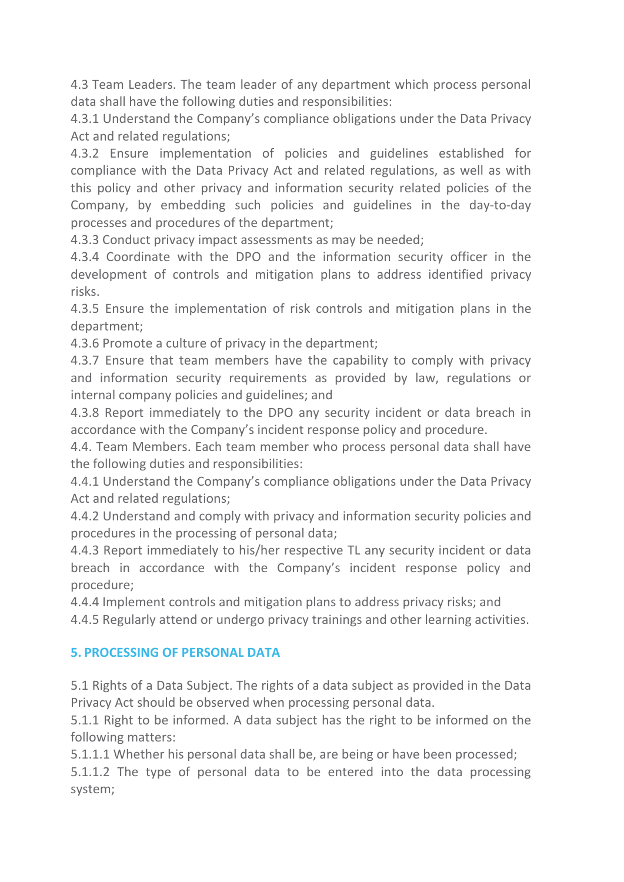4.3 Team Leaders. The team leader of any department which process personal data shall have the following duties and responsibilities:

4.3.1 Understand the Company's compliance obligations under the Data Privacy Act and related regulations;

4.3.2 Ensure implementation of policies and guidelines established for compliance with the Data Privacy Act and related regulations, as well as with this policy and other privacy and information security related policies of the Company, by embedding such policies and guidelines in the day-to-day processes and procedures of the department;

4.3.3 Conduct privacy impact assessments as may be needed;

4.3.4 Coordinate with the DPO and the information security officer in the development of controls and mitigation plans to address identified privacy risks.

4.3.5 Ensure the implementation of risk controls and mitigation plans in the department;

4.3.6 Promote a culture of privacy in the department;

4.3.7 Ensure that team members have the capability to comply with privacy and information security requirements as provided by law, regulations or internal company policies and guidelines; and

4.3.8 Report immediately to the DPO any security incident or data breach in accordance with the Company's incident response policy and procedure.

4.4. Team Members. Each team member who process personal data shall have the following duties and responsibilities:

4.4.1 Understand the Company's compliance obligations under the Data Privacy Act and related regulations;

4.4.2 Understand and comply with privacy and information security policies and procedures in the processing of personal data;

4.4.3 Report immediately to his/her respective TL any security incident or data breach in accordance with the Company's incident response policy and procedure;

4.4.4 Implement controls and mitigation plans to address privacy risks; and

4.4.5 Regularly attend or undergo privacy trainings and other learning activities.

#### **5. PROCESSING OF PERSONAL DATA**

5.1 Rights of a Data Subject. The rights of a data subject as provided in the Data Privacy Act should be observed when processing personal data.

5.1.1 Right to be informed. A data subject has the right to be informed on the following matters:

5.1.1.1 Whether his personal data shall be, are being or have been processed;

5.1.1.2 The type of personal data to be entered into the data processing system;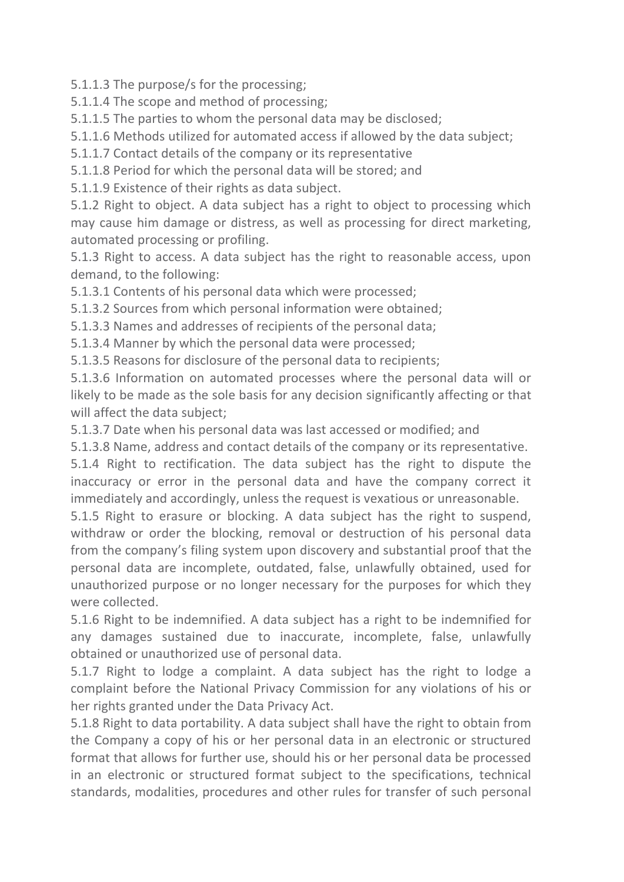5.1.1.3 The purpose/s for the processing;

5.1.1.4 The scope and method of processing;

5.1.1.5 The parties to whom the personal data may be disclosed;

5.1.1.6 Methods utilized for automated access if allowed by the data subject;

5.1.1.7 Contact details of the company or its representative

5.1.1.8 Period for which the personal data will be stored; and

5.1.1.9 Existence of their rights as data subject.

5.1.2 Right to object. A data subject has a right to object to processing which may cause him damage or distress, as well as processing for direct marketing, automated processing or profiling.

5.1.3 Right to access. A data subject has the right to reasonable access, upon demand, to the following:

5.1.3.1 Contents of his personal data which were processed;

5.1.3.2 Sources from which personal information were obtained;

5.1.3.3 Names and addresses of recipients of the personal data;

5.1.3.4 Manner by which the personal data were processed;

5.1.3.5 Reasons for disclosure of the personal data to recipients;

5.1.3.6 Information on automated processes where the personal data will or likely to be made as the sole basis for any decision significantly affecting or that will affect the data subject;

5.1.3.7 Date when his personal data was last accessed or modified; and

5.1.3.8 Name, address and contact details of the company or its representative.

5.1.4 Right to rectification. The data subject has the right to dispute the inaccuracy or error in the personal data and have the company correct it immediately and accordingly, unless the request is vexatious or unreasonable.

5.1.5 Right to erasure or blocking. A data subject has the right to suspend, withdraw or order the blocking, removal or destruction of his personal data from the company's filing system upon discovery and substantial proof that the personal data are incomplete, outdated, false, unlawfully obtained, used for unauthorized purpose or no longer necessary for the purposes for which they were collected.

5.1.6 Right to be indemnified. A data subject has a right to be indemnified for any damages sustained due to inaccurate, incomplete, false, unlawfully obtained or unauthorized use of personal data.

5.1.7 Right to lodge a complaint. A data subject has the right to lodge a complaint before the National Privacy Commission for any violations of his or her rights granted under the Data Privacy Act.

5.1.8 Right to data portability. A data subject shall have the right to obtain from the Company a copy of his or her personal data in an electronic or structured format that allows for further use, should his or her personal data be processed in an electronic or structured format subject to the specifications, technical standards, modalities, procedures and other rules for transfer of such personal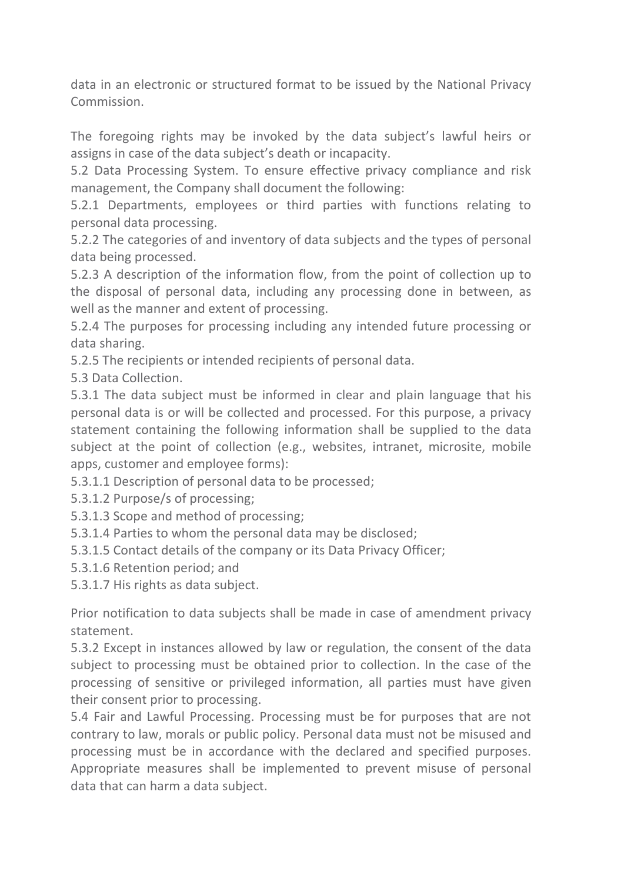data in an electronic or structured format to be issued by the National Privacy Commission.

The foregoing rights may be invoked by the data subject's lawful heirs or assigns in case of the data subject's death or incapacity.

5.2 Data Processing System. To ensure effective privacy compliance and risk management, the Company shall document the following:

5.2.1 Departments, employees or third parties with functions relating to personal data processing.

5.2.2 The categories of and inventory of data subjects and the types of personal data being processed.

5.2.3 A description of the information flow, from the point of collection up to the disposal of personal data, including any processing done in between, as well as the manner and extent of processing.

5.2.4 The purposes for processing including any intended future processing or data sharing.

5.2.5 The recipients or intended recipients of personal data.

5.3 Data Collection.

5.3.1 The data subject must be informed in clear and plain language that his personal data is or will be collected and processed. For this purpose, a privacy statement containing the following information shall be supplied to the data subject at the point of collection (e.g., websites, intranet, microsite, mobile apps, customer and employee forms):

5.3.1.1 Description of personal data to be processed;

- 5.3.1.2 Purpose/s of processing;
- 5.3.1.3 Scope and method of processing;
- 5.3.1.4 Parties to whom the personal data may be disclosed;
- 5.3.1.5 Contact details of the company or its Data Privacy Officer;
- 5.3.1.6 Retention period; and

5.3.1.7 His rights as data subject.

Prior notification to data subjects shall be made in case of amendment privacy statement.

5.3.2 Except in instances allowed by law or regulation, the consent of the data subject to processing must be obtained prior to collection. In the case of the processing of sensitive or privileged information, all parties must have given their consent prior to processing.

5.4 Fair and Lawful Processing. Processing must be for purposes that are not contrary to law, morals or public policy. Personal data must not be misused and processing must be in accordance with the declared and specified purposes. Appropriate measures shall be implemented to prevent misuse of personal data that can harm a data subject.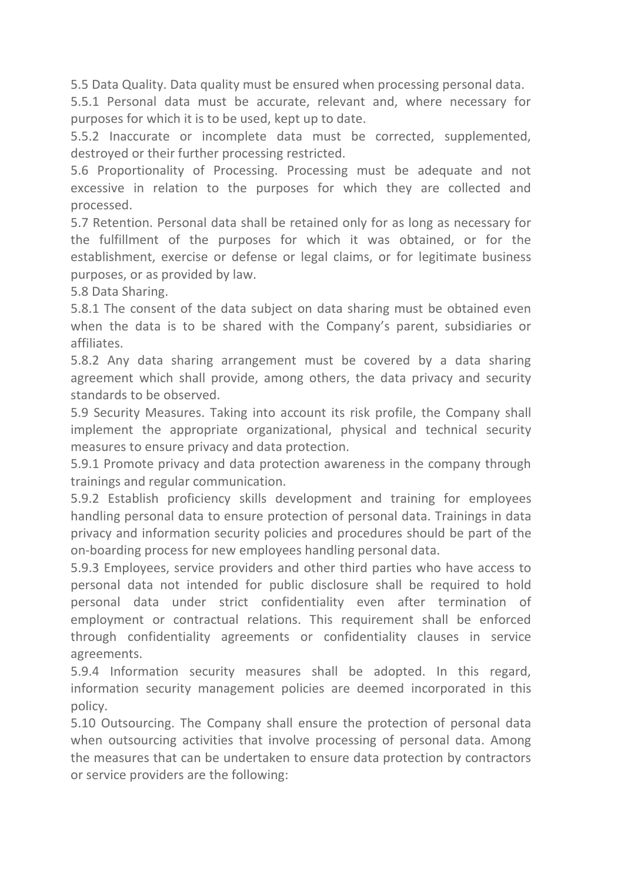5.5 Data Quality. Data quality must be ensured when processing personal data.

5.5.1 Personal data must be accurate, relevant and, where necessary for purposes for which it is to be used, kept up to date.

5.5.2 Inaccurate or incomplete data must be corrected, supplemented, destroyed or their further processing restricted.

5.6 Proportionality of Processing. Processing must be adequate and not excessive in relation to the purposes for which they are collected and processed.

5.7 Retention. Personal data shall be retained only for as long as necessary for the fulfillment of the purposes for which it was obtained, or for the establishment, exercise or defense or legal claims, or for legitimate business purposes, or as provided by law.

5.8 Data Sharing.

5.8.1 The consent of the data subject on data sharing must be obtained even when the data is to be shared with the Company's parent, subsidiaries or affiliates.

5.8.2 Any data sharing arrangement must be covered by a data sharing agreement which shall provide, among others, the data privacy and security standards to be observed.

5.9 Security Measures. Taking into account its risk profile, the Company shall implement the appropriate organizational, physical and technical security measures to ensure privacy and data protection.

5.9.1 Promote privacy and data protection awareness in the company through trainings and regular communication.

5.9.2 Establish proficiency skills development and training for employees handling personal data to ensure protection of personal data. Trainings in data privacy and information security policies and procedures should be part of the on-boarding process for new employees handling personal data.

5.9.3 Employees, service providers and other third parties who have access to personal data not intended for public disclosure shall be required to hold personal data under strict confidentiality even after termination of employment or contractual relations. This requirement shall be enforced through confidentiality agreements or confidentiality clauses in service agreements.

5.9.4 Information security measures shall be adopted. In this regard, information security management policies are deemed incorporated in this policy.

5.10 Outsourcing. The Company shall ensure the protection of personal data when outsourcing activities that involve processing of personal data. Among the measures that can be undertaken to ensure data protection by contractors or service providers are the following: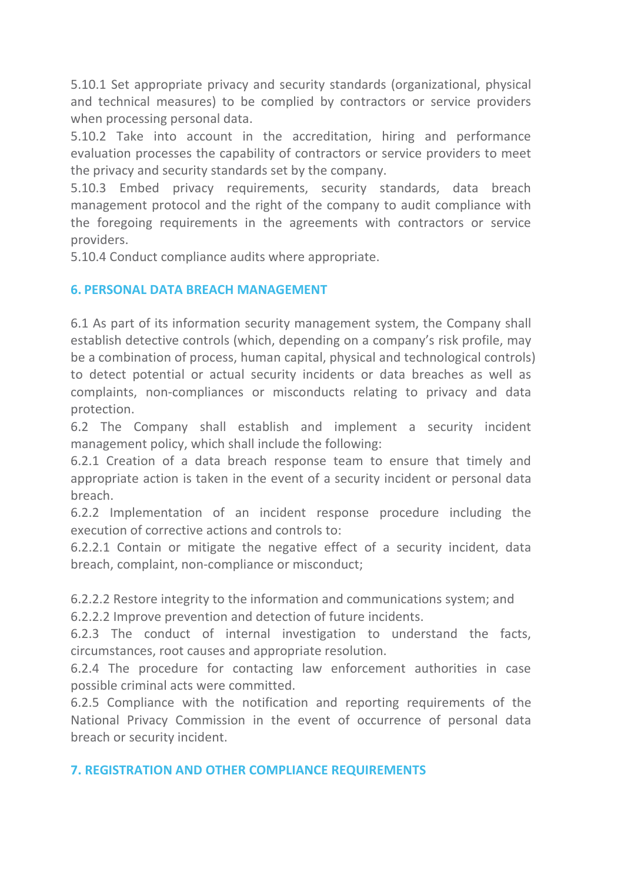5.10.1 Set appropriate privacy and security standards (organizational, physical and technical measures) to be complied bycontractors or service providers when processing personal data.

5.10.2 Take into account in the accreditation, hiring and performance evaluation processes the capability of contractors or service providers to meet the privacy and security standards set by the company.

5.10.3 Embed privacy requirements, security standards, data breach management protocol and the right of the company to audit compliance with the foregoing requirements in the agreements with contractors or service providers.

5.10.4 Conduct compliance audits where appropriate.

#### **6. PERSONAL DATA BREACH MANAGEMENT**

6.1 As part of its information security management system, the Company shall establish detective controls (which, depending on a company's risk profile, may be a combination of process, human capital, physical and technological controls) to detect potential or actual security incidents or data breaches as well as complaints, non-compliances or misconducts relating to privacy and data protection.

6.2 The Company shall establish and implement a security incident management policy, which shall include the following:

6.2.1 Creation of a data breach response team to ensure that timely and appropriate action is taken in the event of a security incident or personal data breach.

6.2.2 Implementation of an incident response procedure including the execution of corrective actions and controls to:

6.2.2.1 Contain or mitigate the negative effect of a security incident, data breach, complaint, non-compliance or misconduct;

6.2.2.2 Restore integrity to the information and communications system; and

6.2.2.2 Improve prevention and detection of future incidents.

6.2.3 The conduct of internal investigation to understand the facts, circumstances, root causes and appropriate resolution.<br>6.2.4 The procedure for contacting law enforcement authorities in case

possible criminal acts were committed.

6.2.5 Compliance with the notification and reporting requirements of the National Privacy Commission in the event of occurrence of personal data breach or security incident.

#### **7. REGISTRATION AND OTHER COMPLIANCE REQUIREMENTS**